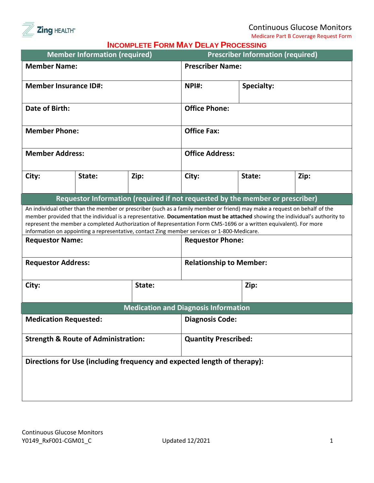

Medicare Part B Coverage Request Form

|                              | <b>Member Information (required)</b>           |        | <b>INCOMELLIL I UNIM IMAT DELAT I NOCLOSING</b>                                             | <b>Prescriber Information (required)</b>                                                                                  |                                                                                                                               |  |
|------------------------------|------------------------------------------------|--------|---------------------------------------------------------------------------------------------|---------------------------------------------------------------------------------------------------------------------------|-------------------------------------------------------------------------------------------------------------------------------|--|
| <b>Member Name:</b>          |                                                |        |                                                                                             | <b>Prescriber Name:</b>                                                                                                   |                                                                                                                               |  |
| <b>Member Insurance ID#:</b> |                                                |        | NPI#:                                                                                       | <b>Specialty:</b>                                                                                                         |                                                                                                                               |  |
| <b>Date of Birth:</b>        |                                                |        |                                                                                             | <b>Office Phone:</b>                                                                                                      |                                                                                                                               |  |
| <b>Member Phone:</b>         |                                                |        |                                                                                             | <b>Office Fax:</b>                                                                                                        |                                                                                                                               |  |
| <b>Member Address:</b>       |                                                |        |                                                                                             | <b>Office Address:</b>                                                                                                    |                                                                                                                               |  |
| City:                        | State:                                         | Zip:   | City:                                                                                       | State:                                                                                                                    | Zip:                                                                                                                          |  |
|                              |                                                |        |                                                                                             | Requestor Information (required if not requested by the member or prescriber)                                             |                                                                                                                               |  |
|                              |                                                |        |                                                                                             | An individual other than the member or prescriber (such as a family member or friend) may make a request on behalf of the |                                                                                                                               |  |
|                              |                                                |        |                                                                                             |                                                                                                                           | member provided that the individual is a representative. Documentation must be attached showing the individual's authority to |  |
|                              |                                                |        |                                                                                             | represent the member a completed Authorization of Representation Form CMS-1696 or a written equivalent). For more         |                                                                                                                               |  |
|                              |                                                |        | information on appointing a representative, contact Zing member services or 1-800-Medicare. |                                                                                                                           |                                                                                                                               |  |
| <b>Requestor Name:</b>       |                                                |        |                                                                                             | <b>Requestor Phone:</b>                                                                                                   |                                                                                                                               |  |
| <b>Requestor Address:</b>    |                                                |        |                                                                                             | <b>Relationship to Member:</b>                                                                                            |                                                                                                                               |  |
| City:                        |                                                | State: |                                                                                             |                                                                                                                           | Zip:                                                                                                                          |  |
|                              |                                                |        | <b>Medication and Diagnosis Information</b>                                                 |                                                                                                                           |                                                                                                                               |  |
| <b>Medication Requested:</b> |                                                |        |                                                                                             | <b>Diagnosis Code:</b>                                                                                                    |                                                                                                                               |  |
|                              | <b>Strength &amp; Route of Administration:</b> |        |                                                                                             | <b>Quantity Prescribed:</b>                                                                                               |                                                                                                                               |  |
|                              |                                                |        | Directions for Use (including frequency and expected length of therapy):                    |                                                                                                                           |                                                                                                                               |  |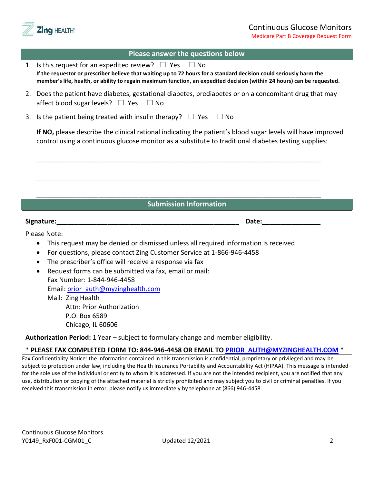

| Please answer the questions below |  |
|-----------------------------------|--|
|-----------------------------------|--|

| 1. Is this request for an expedited review? $\Box$ Yes $\Box$ No<br>If the requestor or prescriber believe that waiting up to 72 hours for a standard decision could seriously harm the<br>member's life, health, or ability to regain maximum function, an expedited decision (within 24 hours) can be requested. |  |  |  |  |
|--------------------------------------------------------------------------------------------------------------------------------------------------------------------------------------------------------------------------------------------------------------------------------------------------------------------|--|--|--|--|
| 2. Does the patient have diabetes, gestational diabetes, prediabetes or on a concomitant drug that may<br>affect blood sugar levels? $\Box$ Yes $\Box$ No                                                                                                                                                          |  |  |  |  |
| 3. Is the patient being treated with insulin therapy? $\Box$ Yes $\Box$ No                                                                                                                                                                                                                                         |  |  |  |  |
| If NO, please describe the clinical rational indicating the patient's blood sugar levels will have improved<br>control using a continuous glucose monitor as a substitute to traditional diabetes testing supplies:                                                                                                |  |  |  |  |
|                                                                                                                                                                                                                                                                                                                    |  |  |  |  |
|                                                                                                                                                                                                                                                                                                                    |  |  |  |  |
|                                                                                                                                                                                                                                                                                                                    |  |  |  |  |
| <b>Submission Information</b>                                                                                                                                                                                                                                                                                      |  |  |  |  |
| Signature:<br>Date:                                                                                                                                                                                                                                                                                                |  |  |  |  |
| Please Note:                                                                                                                                                                                                                                                                                                       |  |  |  |  |
| This request may be denied or dismissed unless all required information is received                                                                                                                                                                                                                                |  |  |  |  |
| For questions, please contact Zing Customer Service at 1-866-946-4458<br>$\bullet$                                                                                                                                                                                                                                 |  |  |  |  |
| The prescriber's office will receive a response via fax<br>$\bullet$                                                                                                                                                                                                                                               |  |  |  |  |
| Request forms can be submitted via fax, email or mail:                                                                                                                                                                                                                                                             |  |  |  |  |
| Fax Number: 1-844-946-4458                                                                                                                                                                                                                                                                                         |  |  |  |  |
| Email: prior auth@myzinghealth.com                                                                                                                                                                                                                                                                                 |  |  |  |  |
| Mail: Zing Health                                                                                                                                                                                                                                                                                                  |  |  |  |  |
| <b>Attn: Prior Authorization</b><br>P.O. Box 6589                                                                                                                                                                                                                                                                  |  |  |  |  |
| Chicago, IL 60606                                                                                                                                                                                                                                                                                                  |  |  |  |  |
| Authorization Period: 1 Year - subject to formulary change and member eligibility.                                                                                                                                                                                                                                 |  |  |  |  |
| * PLEASE FAX COMPLETED FORM TO: 844-946-4458 OR EMAIL TO PRIOR AUTH@MYZINGHEALTH.COM                                                                                                                                                                                                                               |  |  |  |  |

Fax Confidentiality Notice: the information contained in this transmission is confidential, proprietary or privileged and may be subject to protection under law, including the Health Insurance Portability and Accountability Act (HIPAA). This message is intended for the sole use of the individual or entity to whom it is addressed. If you are not the intended recipient, you are notified that any use, distribution or copying of the attached material is strictly prohibited and may subject you to civil or criminal penalties. If you received this transmission in error, please notify us immediately by telephone at (866) 946-4458.